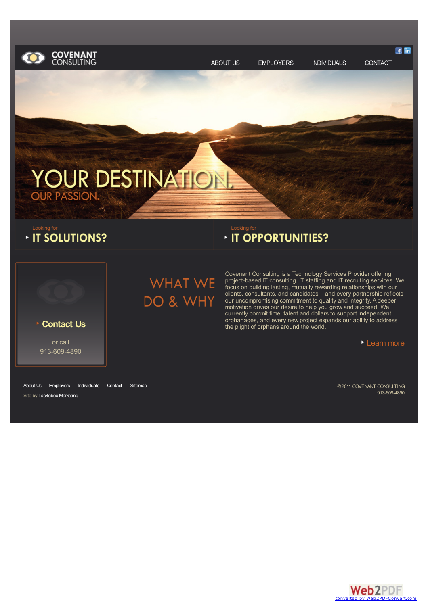<span id="page-0-0"></span>

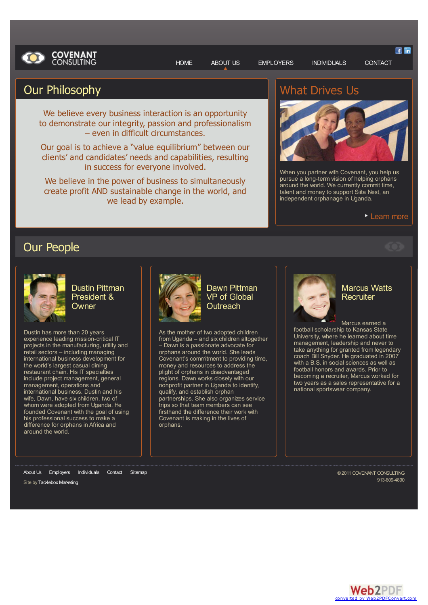

[HOME](http://www.covenant-consulting.com/) [ABOUT](#page-0-0) US [EMPLOYERS](http://www.covenant-consulting.com/employers/) [INDIVIDUALS](http://www.covenant-consulting.com/individuals/) [CONTACT](http://www.covenant-consulting.com/contact/)

# Our Philosophy

We believe every business interaction is an opportunity to demonstrate our integrity, passion and professionalism – even in difficult circumstances.

Our goal is to achieve a "value equilibrium" between our clients' and candidates' needs and capabilities, resulting in success for everyone involved.

We believe in the power of business to simultaneously create profit AND sustainable change in the world, and we lead by example.

# What Drives Us



When you partner with Covenant, you help us pursue a long-term vision of helping orphans around the world. We currently commit time, talent and money to support Siita Nest, an independent orphanage in Uganda.

#### **[Learn](http://www.covenant-consulting.com/about-us/what-drives-us/) more**

# Our People



Dustin Pittman President & **Owner** 

Dustin has more than 20 years experience leading mission-critical IT projects in the manufacturing, utility and retail sectors – including managing international business development for the world's largest casual dining restaurant chain. His IT specialties include project management, general management, operations and international business. Dustin and his wife, Dawn, have six children, two of whom were adopted from Uganda. He founded Covenant with the goal of using his professional success to make a difference for orphans in Africa and around the world.



Dawn Pittman VP of Global **Outreach** 

As the mother of two adopted children from Uganda – and six children altogether – Dawn is a passionate advocate for orphans around the world. She leads Covenant's commitment to providing time, money and resources to address the plight of orphans in disadvantaged regions. Dawn works closely with our nonprofit partner in Uganda to identify, qualify, and establish orphan partnerships. She also organizes service trips so that team members can see firsthand the difference their work with Covenant is making in the lives of orphans.



### Marcus Watts **Recruiter**

Marcus earned a football scholarship to Kansas State University, where he learned about time management, leadership and never to take anything for granted from legendary coach Bill Snyder. He graduated in 2007 with a B.S. in social sciences as well as football honors and awards. Prior to becoming a recruiter, Marcus worked for two years as a sales representative for a national sportswear company.

[About](#page-0-0) Us [Employers](http://www.covenant-consulting.com/employers/) [Individuals](http://www.covenant-consulting.com/individuals/) [Contact](http://www.covenant-consulting.com/contact) [Sitemap](http://www.covenant-consulting.com/sitemap)

Site by [Tacklebox](http://www.tacklebox-marketing.com) Marketing

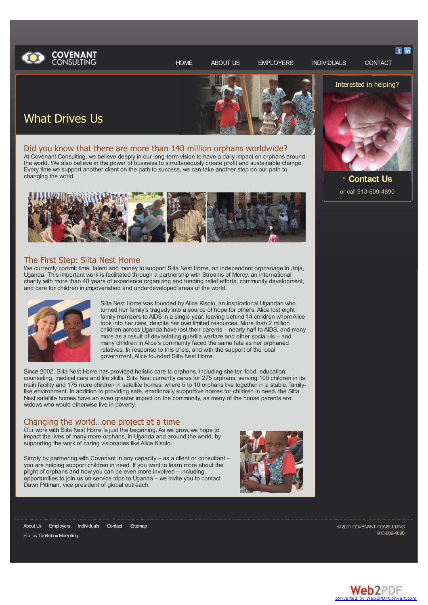

[HOME](http://www.covenant-consulting.com/) [ABOUT](http://www.covenant-consulting.com/about-us/) US [EMPLOYERS](http://www.covenant-consulting.com/employers/) [INDIVIDUALS](http://www.covenant-consulting.com/individuals/) [CONTACT](http://www.covenant-consulting.com/contact/)

**三 匝** 



# What Drives Us

### Did you know that there are more than 140 million orphans worldwide?

At Covenant Consulting, we believe deeply in our long-term vision to have a daily impact on orphans around the world. We also believe in the power of business to simultaneously create profit and sustainable change. Every time we support another client on the path to success, we can take another step on our path to changing the world.



#### The First Step: Siita Nest Home

We currently commit time, talent and money to support Siita Nest Home, an independent orphanage in Jinja, Uganda. This important work is facilitated through a partnership with Streams of Mercy, an international charity with more than 40 years of experience organizing and funding relief efforts, community development, and care for children in impoverished and underdeveloped areas of the world.



Siita Nest Home was founded by Alice Kisolo, an inspirational Ugandan who turned her family's tragedy into a source of hope for others. Alice lost eight family members to AIDS in a single year, leaving behind 14 children whomAlice took into her care, despite her own limited resources. More than 2 million children across Uganda have lost their parents – nearly half to AIDS, and many more as a result of devastating guerilla warfare and other social ills – and many children in Alice's community faced the same fate as her orphaned relatives. In response to this crisis, and with the support of the local government, Alice founded Siita Nest Home.

Since 2002, Siita Nest Home has provided holistic care to orphans, including shelter, food, education, counseling, medical care and life skills. Siita Nest currently cares for 275 orphans, serving 100 children in its main facility and 175 more children in satellite homes, where 5 to 10 orphans live together in a stable, familylike environment. In addition to providing safe, emotionally supportive homes for children in need, the Siita Nest satellite homes have an even greater impact on the community, as many of the house parents are widows who would otherwise live in poverty.

#### Changing the world…one project at a time

Our work with Siita Nest Home is just the beginning. As we grow, we hope to impact the lives of many more orphans, in Uganda and around the world, by supporting the work of caring visionaries like Alice Kisolo.

Simply by partnering with Covenant in any capacity - as a client or consultant you are helping support children in need. If you want to learn more about the plight of orphans and how you can be even more involved – including opportunities to join us on service trips to Uganda – we invite you to contact Dawn Pittman, vice president of global outreach.





**[Contact](http://www.covenant-consulting.com/contact) Us** or call 913-609-4890

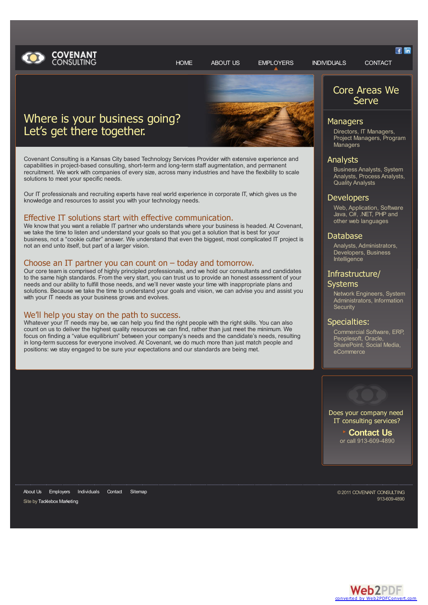

# Where is your business going? Let's get there together.

Covenant Consulting is a Kansas City based Technology Services Provider with extensive experience and capabilities in project-based consulting, short-term and long-term staff augmentation, and permanent recruitment. We work with companies of every size, across many industries and have the flexibility to scale solutions to meet your specific needs.

Our IT professionals and recruiting experts have real world experience in corporate IT, which gives us the knowledge and resources to assist you with your technology needs.

# Effective IT solutions start with effective communication.<br>We know that you want a reliable IT partner who understands where your business is headed. At Covenant,

we take the time to listen and understand your goals so that you get a solution that is best for your business, not a "cookie cutter" answer. We understand that even the biggest, most complicated IT project is not an end unto itself, but part of a larger vision.

#### Choose an IT partner you can count on – today and tomorrow.

Our core team is comprised of highly principled professionals, and we hold our consultants and candidates to the same high standards. From the very start, you can trust us to provide an honest assessment of your needs and our ability to fulfill those needs, and we'll never waste your time with inappropriate plans and solutions. Because we take the time to understand your goals and vision, we can advise you and assist you with your IT needs as your business grows and evolves.

We'll help you stay on the path to success.<br>Whatever your IT needs may be, we can help you find the right people with the right skills. You can also count on us to deliver the highest quality resources we can find, rather than just meet the minimum. We focus on finding a "value equilibrium" between your company's needs and the candidate's needs, resulting in long-term success for everyone involved. At Covenant, we do much more than just match people and positions: we stay engaged to be sure your expectations and our standards are being met.



Core Areas We Serve

### **Managers**

Directors, IT Managers, Project Managers, Program **Managers** 

#### Analysts

Business Analysts, System Analysts, Process Analysts, Quality Analysts

#### **Developers**

Web, Application, Software Java, C#, .NET, PHP and other web languages

#### Database

Analysts, Administrators, Developers, Business Intelligence

#### Infrastructure/ **Systems**

Network Engineers, System Administrators, Information **Security** 

#### Specialties:

Commercial Software, ERP, Peoplesoft, Oracle, SharePoint, Social Media, eCommerce



Does your company need IT consulting services?

> **[Contact](http://www.covenant-consulting.com/contact) Us** or call 913-609-4890

Site by [Tacklebox](http://www.tacklebox-marketing.com) Marketing [About](http://www.covenant-consulting.com/about-us/) Us [Employers](#page-0-0) [Individuals](http://www.covenant-consulting.com/individuals/) [Contact](http://www.covenant-consulting.com/contact) [Sitemap](http://www.covenant-consulting.com/sitemap)

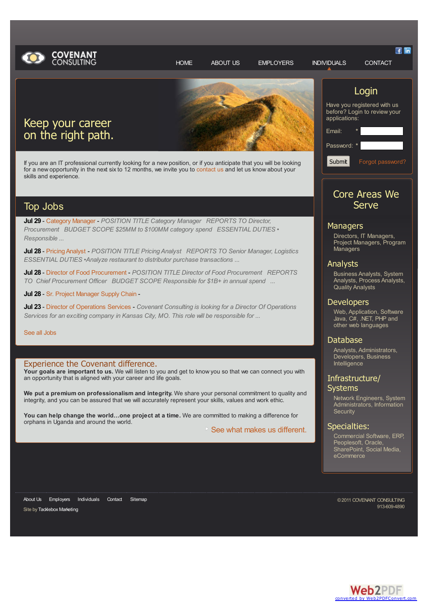



# Keep your career on the right path.

If you are an IT professional currently looking for a new position, or if you anticipate that you will be looking for a new opportunity in the next six to 12 months, we invite you to [contact](http://www.covenant-consulting.com/contact/) us and let us know about your skills and experience.

### Top Jobs

**Jul 29** - [Category](http://www.covenant-consulting.com/index.php?cc=show&id=606961&page_id=259) Manager - *POSITION TITLE Category Manager REPORTS TO Director, Procurement BUDGET SCOPE \$25MM to \$100MM category spend ESSENTIAL DUTIES • Responsible ...*

**Jul 28** - Pricing [Analyst](http://www.covenant-consulting.com/index.php?cc=show&id=606743&page_id=259) - *POSITION TITLE Pricing Analyst REPORTS TO Senior Manager, Logistics ESSENTIAL DUTIES •Analyze restaurant to distributor purchase transactions ...*

**Jul 28** - Director of Food [Procurement](http://www.covenant-consulting.com/index.php?cc=show&id=606527&page_id=259) - *POSITION TITLE Director of Food Procurement REPORTS TO Chief Procurement Officer BUDGET SCOPE Responsible for \$1B+ in annual spend ...*

**Jul 28** - Sr. Project [Manager](http://www.covenant-consulting.com/index.php?cc=show&id=606381&page_id=259) Supply Chain -

**Jul 23** - Director of [Operations](http://www.covenant-consulting.com/index.php?cc=show&id=600411&page_id=259) Services - *Covenant Consulting is looking for a Director Of Operations Services for an exciting company in Kansas City, MO. This role will be responsible for ...*

#### See all [Jobs](http://www.covenant-consulting.com/index.php?page_id=259)

#### Experience the Covenant difference.

**Your goals are important to us.** We will listen to you and get to know you so that we can connect you with an opportunity that is aligned with your career and life goals.

**We put a premium on professionalism and integrity.** We share your personal commitment to quality and integrity, and you can be assured that we will accurately represent your skills, values and work ethic.

**You can help change the world…one project at a time.** We are committed to making a difference for orphans in Uganda and around the world.

**■ See what makes us [different.](http://www.covenant-consulting.com/about-us/what-drives-us/ )** 

## Login

**三 匝** 

Have you registered with us before? Login to review your applications:

Email: Password: *\** Submit Forgot [password?](http://www.covenant-consulting.com/index.php?cc=forgot&logout=no&page_id=259)

### Core Areas We **Serve**

#### **Managers**

Directors, IT Managers, Project Managers, Program **Managers** 

#### Analysts

Business Analysts, System Analysts, Process Analysts, Quality Analysts

#### **Developers**

Web, Application, Software Java, C#, .NET, PHP and other web languages

#### Database

Analysts, Administrators, Developers, Business **Intelligence** 

### Infrastructure/ Systems

Network Engineers, System Administrators, Information **Security** 

#### Specialties:

Commercial Software, ERP, Peoplesoft, Oracle, SharePoint, Social Media, eCommerce

[About](http://www.covenant-consulting.com/about-us/) Us [Employers](http://www.covenant-consulting.com/employers/) [Individuals](#page-0-0) [Contact](http://www.covenant-consulting.com/contact) [Sitemap](http://www.covenant-consulting.com/sitemap)

Site by [Tacklebox](http://www.tacklebox-marketing.com) Marketing